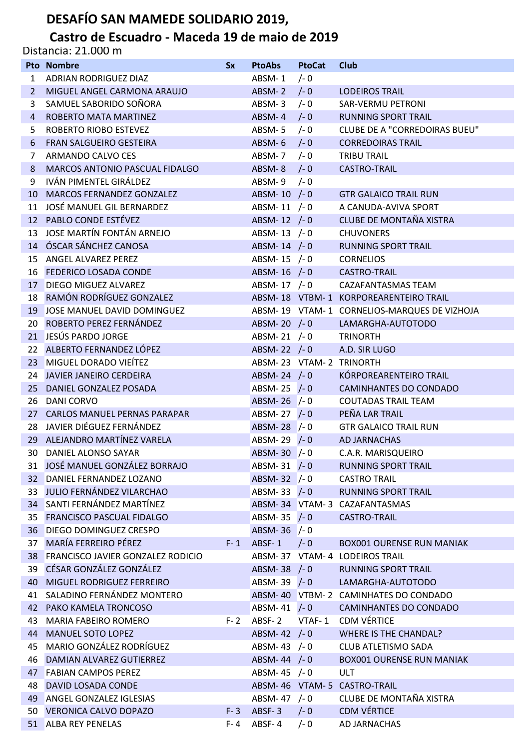## **DESAFÍO SAN MAMEDE SOLIDARIO 2019,**

## **Castro de Escuadro - Maceda 19 de maio de 2019**

Distancia: 21.000 m

|                | <b>Pto Nombre</b>                                              | <b>Sx</b> | <b>PtoAbs</b>                | <b>PtoCat</b> | Club                                        |
|----------------|----------------------------------------------------------------|-----------|------------------------------|---------------|---------------------------------------------|
| $\mathbf{1}$   | ADRIAN RODRIGUEZ DIAZ                                          |           | ABSM-1                       | $/- 0$        |                                             |
| 2              | MIGUEL ANGEL CARMONA ARAUJO                                    |           | ABSM-2 $/-0$                 |               | <b>LODEIROS TRAIL</b>                       |
| 3              | SAMUEL SABORIDO SOÑORA                                         |           | ABSM-3                       | $/- 0$        | SAR-VERMU PETRONI                           |
| $\overline{4}$ | ROBERTO MATA MARTINEZ                                          |           | ABSM- $4$ /-0                |               | <b>RUNNING SPORT TRAIL</b>                  |
| 5              | ROBERTO RIOBO ESTEVEZ                                          |           | ABSM-5 $/-0$                 |               | CLUBE DE A "CORREDOIRAS BUEU"               |
| 6              | <b>FRAN SALGUEIRO GESTEIRA</b>                                 |           | ABSM- $6$ /-0                |               | <b>CORREDOIRAS TRAIL</b>                    |
| 7              | ARMANDO CALVO CES                                              |           | ABSM- $7 / -0$               |               | <b>TRIBU TRAIL</b>                          |
| 8              | MARCOS ANTONIO PASCUAL FIDALGO                                 |           | ABSM-8 /-0                   |               | <b>CASTRO-TRAIL</b>                         |
| 9              | IVÁN PIMENTEL GIRÁLDEZ                                         |           | ABSM-9 $/-0$                 |               |                                             |
|                | 10 MARCOS FERNANDEZ GONZALEZ                                   |           | ABSM-10 $/- 0$               |               | <b>GTR GALAICO TRAIL RUN</b>                |
|                | 11 JOSÉ MANUEL GIL BERNARDEZ                                   |           | ABSM-11 $/- 0$               |               | A CANUDA-AVIVA SPORT                        |
|                | 12 PABLO CONDE ESTÉVEZ                                         |           | ABSM-12 $/- 0$               |               | CLUBE DE MONTAÑA XISTRA                     |
|                | 13 JOSE MARTÍN FONTÁN ARNEJO                                   |           | ABSM-13 $/- 0$               |               | <b>CHUVONERS</b>                            |
|                | 14 ÓSCAR SÁNCHEZ CANOSA                                        |           | ABSM-14 $/- 0$               |               | <b>RUNNING SPORT TRAIL</b>                  |
|                | 15 ANGEL ALVAREZ PEREZ                                         |           | ABSM-15 $/- 0$               |               | <b>CORNELIOS</b>                            |
|                | 16 FEDERICO LOSADA CONDE                                       |           | ABSM-16 /-0                  |               | <b>CASTRO-TRAIL</b>                         |
|                | 17 DIEGO MIGUEZ ALVAREZ                                        |           | ABSM-17 /-0                  |               | CAZAFANTASMAS TEAM                          |
|                | 18 RAMÓN RODRÍGUEZ GONZALEZ                                    |           |                              |               | ABSM-18 VTBM-1 KORPOREARENTEIRO TRAIL       |
|                | 19 JOSE MANUEL DAVID DOMINGUEZ                                 |           |                              |               | ABSM-19 VTAM-1 CORNELIOS-MARQUES DE VIZHOJA |
|                | 20 ROBERTO PEREZ FERNÁNDEZ                                     |           | ABSM-20 $/-0$                |               | LAMARGHA-AUTOTODO                           |
|                | 21 JESÚS PARDO JORGE                                           |           | ABSM-21 $/- 0$               |               | <b>TRINORTH</b>                             |
|                | 22 ALBERTO FERNANDEZ LÓPEZ                                     |           | ABSM-22 $/-0$                |               | A.D. SIR LUGO                               |
|                | 23 MIGUEL DORADO VIEÍTEZ                                       |           |                              |               | ABSM-23 VTAM-2 TRINORTH                     |
|                | 24 JAVIER JANEIRO CERDEIRA                                     |           | ABSM-24 $/ - 0$              |               | KÓRPOREARENTEIRO TRAIL                      |
|                | 25 DANIEL GONZALEZ POSADA                                      |           | ABSM-25 $/ - 0$              |               | <b>CAMINHANTES DO CONDADO</b>               |
|                | 26 DANI CORVO                                                  |           | ABSM-26 $/- 0$               |               | <b>COUTADAS TRAIL TEAM</b>                  |
|                | 27 CARLOS MANUEL PERNAS PARAPAR<br>28 JAVIER DIÉGUEZ FERNÁNDEZ |           | ABSM-27 $/-0$                |               | PEÑA LAR TRAIL                              |
|                | 29 ALEJANDRO MARTÍNEZ VARELA                                   |           | ABSM-28 $/-0$                |               | <b>GTR GALAICO TRAIL RUN</b>                |
|                | 30 DANIEL ALONSO SAYAR                                         |           | ABSM-29 $/-0$<br>ABSM-30 /-0 |               | AD JARNACHAS<br>C.A.R. MARISQUEIRO          |
|                | 31 JOSÉ MANUEL GONZÁLEZ BORRAJO                                |           | ABSM-31 $/- 0$               |               | <b>RUNNING SPORT TRAIL</b>                  |
|                | 32 DANIEL FERNANDEZ LOZANO                                     |           | ABSM-32 /-0                  |               | <b>CASTRO TRAIL</b>                         |
|                | 33 JULIO FERNÁNDEZ VILARCHAO                                   |           | ABSM-33 $/-0$                |               | <b>RUNNING SPORT TRAIL</b>                  |
|                | 34 SANTI FERNÁNDEZ MARTÍNEZ                                    |           |                              |               | ABSM-34 VTAM-3 CAZAFANTASMAS                |
|                | 35 FRANCISCO PASCUAL FIDALGO                                   |           | ABSM-35 $/-0$                |               | CASTRO-TRAIL                                |
|                | 36 DIEGO DOMINGUEZ CRESPO                                      |           | ABSM-36 $/- 0$               |               |                                             |
|                | 37 MARÍA FERREIRO PÉREZ                                        |           | $F-1$ ABSF-1 /-0             |               | <b>BOX001 OURENSE RUN MANIAK</b>            |
|                | 38 FRANCISCO JAVIER GONZALEZ RODICIO                           |           |                              |               | ABSM-37 VTAM-4 LODEIROS TRAIL               |
|                | 39 CÉSAR GONZÁLEZ GONZÁLEZ                                     |           | ABSM-38 /-0                  |               | <b>RUNNING SPORT TRAIL</b>                  |
|                | 40 MIGUEL RODRIGUEZ FERREIRO                                   |           | ABSM-39 $/-0$                |               | LAMARGHA-AUTOTODO                           |
|                | 41 SALADINO FERNÁNDEZ MONTERO                                  |           |                              |               | ABSM-40 VTBM-2 CAMINHATES DO CONDADO        |
|                | 42 PAKO KAMELA TRONCOSO                                        |           | ABSM-41 $/ - 0$              |               | CAMINHANTES DO CONDADO                      |
| 43             | MARIA FABEIRO ROMERO                                           | F- 2      |                              |               | ABSF-2 VTAF-1 CDM VÉRTICE                   |
|                | 44 MANUEL SOTO LOPEZ                                           |           | ABSM-42 $/-0$                |               | <b>WHERE IS THE CHANDAL?</b>                |
| 45             | MARIO GONZÁLEZ RODRÍGUEZ                                       |           | ABSM-43 /-0                  |               | CLUB ATLETISMO SADA                         |
| 46             | DAMIAN ALVAREZ GUTIERREZ                                       |           | ABSM-44 $/- 0$               |               | <b>BOX001 OURENSE RUN MANIAK</b>            |
|                | 47 FABIAN CAMPOS PEREZ                                         |           | ABSM-45 $/- 0$               |               | ULT                                         |
| 48.            | DAVID LOSADA CONDE                                             |           |                              |               | ABSM-46 VTAM-5 CASTRO-TRAIL                 |
|                | 49 ANGEL GONZALEZ IGLESIAS                                     |           | ABSM-47 /-0                  |               | CLUBE DE MONTAÑA XISTRA                     |
|                | 50 VERONICA CALVO DOPAZO                                       | $F - 3$   | ABSF-3                       | $/- 0$        | <b>CDM VÉRTICE</b>                          |
|                | 51 ALBA REY PENELAS                                            | F- 4      | ABSF-4                       | $/- 0$        | AD JARNACHAS                                |